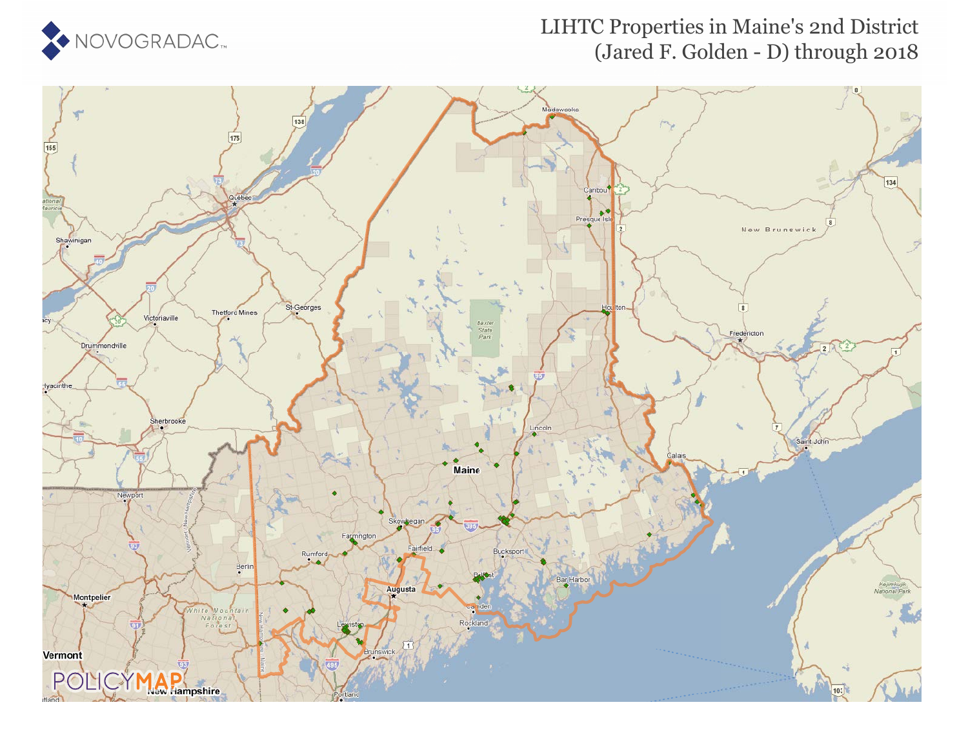

### LIHTC Properties in Maine's 2nd District (Jared F. Golden - D) through 2018

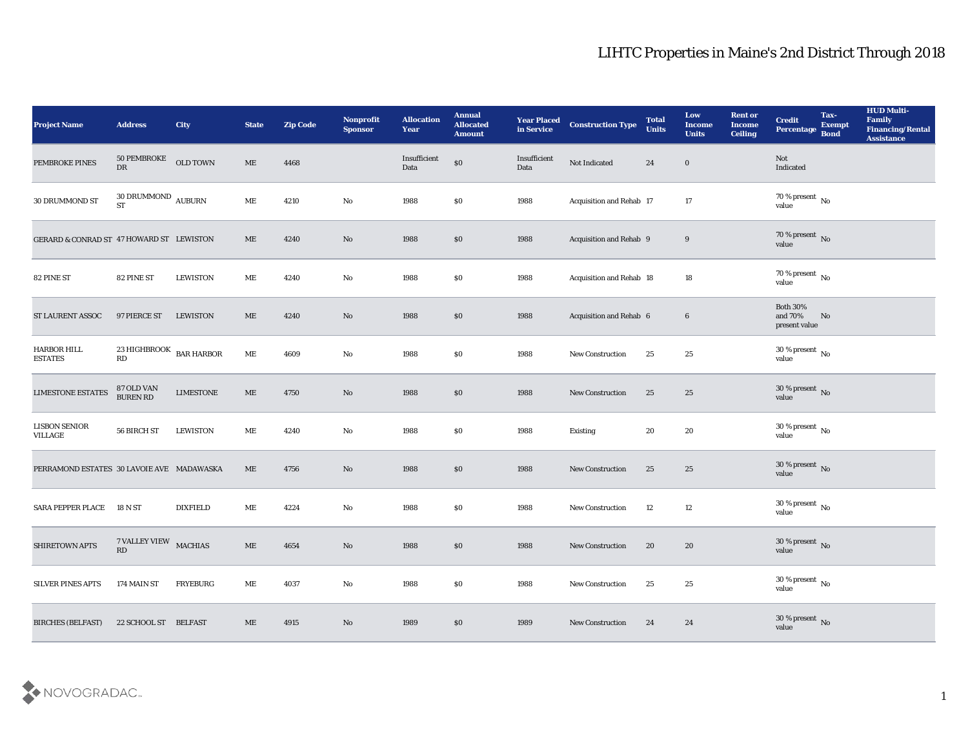| <b>Project Name</b>                       | <b>Address</b>                              | City             | <b>State</b> | <b>Zip Code</b> | Nonprofit<br><b>Sponsor</b> | <b>Allocation</b><br><b>Year</b> | <b>Annual</b><br><b>Allocated</b><br><b>Amount</b> | <b>Year Placed</b><br>in Service | <b>Construction Type</b> | <b>Total</b><br><b>Units</b> | Low<br><b>Income</b><br><b>Units</b> | <b>Rent or</b><br><b>Income</b><br><b>Ceiling</b> | <b>Credit</b><br>Percentage                 | Tax-<br><b>Exempt</b><br><b>Bond</b> | <b>HUD Multi-</b><br>Family<br><b>Financing/Rental</b><br><b>Assistance</b> |
|-------------------------------------------|---------------------------------------------|------------------|--------------|-----------------|-----------------------------|----------------------------------|----------------------------------------------------|----------------------------------|--------------------------|------------------------------|--------------------------------------|---------------------------------------------------|---------------------------------------------|--------------------------------------|-----------------------------------------------------------------------------|
| PEMBROKE PINES                            | 50 PEMBROKE<br>${\rm DR}$                   | OLD TOWN         | ME           | 4468            |                             | Insufficient<br>Data             | $\$0$                                              | Insufficient<br>Data             | Not Indicated            | 24                           | $\bf{0}$                             |                                                   | <b>Not</b><br>Indicated                     |                                      |                                                                             |
| 30 DRUMMOND ST                            | $30$ DRUMMOND $\,$ AUBURN $\,$<br><b>ST</b> |                  | ME           | 4210            | No                          | 1988                             | \$0                                                | 1988                             | Acquisition and Rehab 17 |                              | 17                                   |                                                   | $70\,\%$ present $\,$ No value              |                                      |                                                                             |
| GERARD & CONRAD ST 47 HOWARD ST LEWISTON  |                                             |                  | ME           | 4240            | No                          | 1988                             | $\$0$                                              | 1988                             | Acquisition and Rehab 9  |                              | 9                                    |                                                   | $70\,\%$ present $\,$ No value              |                                      |                                                                             |
| 82 PINE ST                                | 82 PINE ST                                  | <b>LEWISTON</b>  | ME           | 4240            | $\rm\thinspace No$          | 1988                             | \$0                                                | 1988                             | Acquisition and Rehab 18 |                              | 18                                   |                                                   | $70\,\%$ present $\,$ No value              |                                      |                                                                             |
| ST LAURENT ASSOC                          | 97 PIERCE ST                                | <b>LEWISTON</b>  | ME           | 4240            | No                          | 1988                             | \$0                                                | 1988                             | Acquisition and Rehab 6  |                              | $6\phantom{.0}$                      |                                                   | <b>Both 30%</b><br>and 70%<br>present value | No                                   |                                                                             |
| HARBOR HILL<br><b>ESTATES</b>             | 23 HIGHBROOK BAR HARBOR<br>RD               |                  | ME           | 4609            | $\rm\thinspace No$          | 1988                             | \$0                                                | 1988                             | <b>New Construction</b>  | 25                           | 25                                   |                                                   | $30\,\%$ present $\,$ No value              |                                      |                                                                             |
| <b>LIMESTONE ESTATES</b>                  | 87 OLD VAN BUREN RD                         | <b>LIMESTONE</b> | ME           | 4750            | No                          | 1988                             | $\$0$                                              | 1988                             | New Construction         | 25                           | 25                                   |                                                   | $30\,\%$ present $\,$ No value              |                                      |                                                                             |
| <b>LISBON SENIOR</b><br>VILLAGE           | 56 BIRCH ST                                 | <b>LEWISTON</b>  | ME           | 4240            | $\mathbf{No}$               | 1988                             | \$0                                                | 1988                             | Existing                 | 20                           | 20                                   |                                                   | $30\,\%$ present $\,$ No value              |                                      |                                                                             |
| PERRAMOND ESTATES 30 LAVOIE AVE MADAWASKA |                                             |                  | ME           | 4756            | No                          | 1988                             | \$0                                                | 1988                             | <b>New Construction</b>  | 25                           | 25                                   |                                                   | $30\,\%$ present $\,$ No value              |                                      |                                                                             |
| <b>SARA PEPPER PLACE</b>                  | 18 N ST                                     | <b>DIXFIELD</b>  | ME           | 4224            | No                          | 1988                             | \$0                                                | 1988                             | New Construction         | 12                           | 12                                   |                                                   | $30\,\%$ present $\,$ No value              |                                      |                                                                             |
| <b>SHIRETOWN APTS</b>                     | 7 VALLEY VIEW MACHIAS<br>RD                 |                  | ME           | 4654            | No                          | 1988                             | \$0\$                                              | 1988                             | <b>New Construction</b>  | 20                           | 20                                   |                                                   | 30 % present $\bar{N}$ o<br>value           |                                      |                                                                             |
| SILVER PINES APTS                         | 174 MAIN ST                                 | <b>FRYEBURG</b>  | ME           | 4037            | $\rm\thinspace No$          | 1988                             | $\$0$                                              | 1988                             | New Construction         | 25                           | $25\,$                               |                                                   | $30\,\%$ present $\,$ No value              |                                      |                                                                             |
| <b>BIRCHES (BELFAST)</b>                  | 22 SCHOOL ST BELFAST                        |                  | ME           | 4915            | $\rm\thinspace No$          | 1989                             | $\$0$                                              | 1989                             | New Construction         | 24                           | 24                                   |                                                   | $30\,\%$ present $\,$ No value              |                                      |                                                                             |

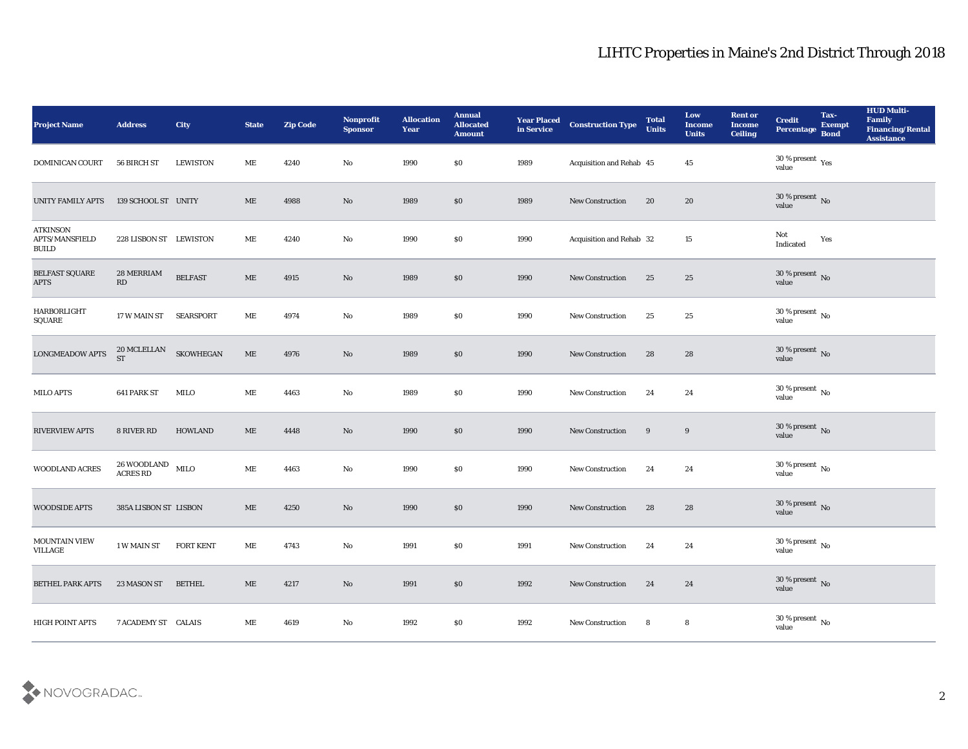| Project Name                                      | <b>Address</b>                        | City             | <b>State</b> | <b>Zip Code</b> | Nonprofit<br><b>Sponsor</b> | <b>Allocation</b><br><b>Year</b> | <b>Annual</b><br><b>Allocated</b><br><b>Amount</b> | <b>Year Placed</b><br>in Service | <b>Construction Type</b> | <b>Total</b><br><b>Units</b> | Low<br>Income<br><b>Units</b> | <b>Rent or</b><br><b>Income</b><br><b>Ceiling</b> | <b>Credit</b><br>Percentage     | Tax-<br><b>Exempt</b><br><b>Bond</b> | <b>HUD Multi-</b><br>Family<br><b>Financing/Rental</b><br><b>Assistance</b> |
|---------------------------------------------------|---------------------------------------|------------------|--------------|-----------------|-----------------------------|----------------------------------|----------------------------------------------------|----------------------------------|--------------------------|------------------------------|-------------------------------|---------------------------------------------------|---------------------------------|--------------------------------------|-----------------------------------------------------------------------------|
| <b>DOMINICAN COURT</b>                            | 56 BIRCH ST                           | <b>LEWISTON</b>  | МE           | 4240            | No                          | 1990                             | \$0                                                | 1989                             | Acquisition and Rehab 45 |                              | 45                            |                                                   | $30\,\%$ present $\,$ Yes value |                                      |                                                                             |
| UNITY FAMILY APTS                                 | 139 SCHOOL ST UNITY                   |                  | ME           | 4988            | No                          | 1989                             | \$0                                                | 1989                             | <b>New Construction</b>  | 20                           | 20                            |                                                   | $30\,\%$ present $\,$ No value  |                                      |                                                                             |
| <b>ATKINSON</b><br>APTS/MANSFIELD<br><b>BUILD</b> | 228 LISBON ST LEWISTON                |                  | ME           | 4240            | No                          | 1990                             | $\$0$                                              | 1990                             | Acquisition and Rehab 32 |                              | 15                            |                                                   | Not<br>Indicated                | Yes                                  |                                                                             |
| BELFAST SQUARE<br><b>APTS</b>                     | 28 MERRIAM<br>RD                      | <b>BELFAST</b>   | $\rm ME$     | 4915            | No                          | 1989                             | \$0                                                | 1990                             | New Construction         | 25                           | 25                            |                                                   | $30\,\%$ present $\,$ No value  |                                      |                                                                             |
| HARBORLIGHT<br>$\operatorname{\mathsf{SQUARE}}$   | 17 W MAIN ST                          | <b>SEARSPORT</b> | ME           | 4974            | $\mathbf{N}\mathbf{o}$      | 1989                             | \$0                                                | 1990                             | New Construction         | 25                           | 25                            |                                                   | $30\,\%$ present $\,$ No value  |                                      |                                                                             |
| <b>LONGMEADOW APTS</b>                            | $20\,$ MCLELLAN $\,$ ST               | SKOWHEGAN        | $\rm ME$     | 4976            | No                          | 1989                             | \$0                                                | 1990                             | New Construction         | 28                           | 28                            |                                                   | $30\,\%$ present $\,$ No value  |                                      |                                                                             |
| MILO APTS                                         | 641 PARK ST                           | MILO             | ME           | 4463            | $\mathbf{N}\mathbf{o}$      | 1989                             | \$0                                                | 1990                             | New Construction         | 24                           | 24                            |                                                   | $30\,\%$ present $\,$ No value  |                                      |                                                                             |
| <b>RIVERVIEW APTS</b>                             | 8 RIVER RD                            | <b>HOWLAND</b>   | ME           | 4448            | $\mathbf{N}\mathbf{o}$      | 1990                             | \$0                                                | 1990                             | New Construction         | 9                            | 9                             |                                                   | $30\,\%$ present $\,$ No value  |                                      |                                                                             |
| WOODLAND ACRES                                    | $26\,$ WOODLAND $$\rm MILO$$ ACRES RD |                  | ME           | 4463            | No                          | 1990                             | \$0                                                | 1990                             | <b>New Construction</b>  | 24                           | 24                            |                                                   | $30\,\%$ present $\,$ No value  |                                      |                                                                             |
| <b>WOODSIDE APTS</b>                              | 385A LISBON ST LISBON                 |                  | $\rm ME$     | 4250            | $\mathbf{N}\mathbf{o}$      | 1990                             | \$0                                                | 1990                             | <b>New Construction</b>  | 28                           | 28                            |                                                   | $30\,\%$ present $\,$ No value  |                                      |                                                                             |
| <b>MOUNTAIN VIEW</b><br><b>VILLAGE</b>            | 1 W MAIN ST                           | <b>FORT KENT</b> | ME           | 4743            | No                          | 1991                             | \$0                                                | 1991                             | <b>New Construction</b>  | 24                           | 24                            |                                                   | $30\,\%$ present $\,$ No value  |                                      |                                                                             |
| BETHEL PARK APTS                                  | 23 MASON ST                           | <b>BETHEL</b>    | $\rm ME$     | 4217            | $\rm\thinspace No$          | 1991                             | $\$0$                                              | 1992                             | New Construction         | 24                           | 24                            |                                                   | $30\,\%$ present $\,$ No value  |                                      |                                                                             |
| HIGH POINT APTS                                   | 7 ACADEMY ST CALAIS                   |                  | $\rm ME$     | 4619            | $\mathbf {No}$              | 1992                             | $\$0$                                              | 1992                             | New Construction         | 8                            | 8                             |                                                   | $30\,\%$ present $\,$ No value  |                                      |                                                                             |

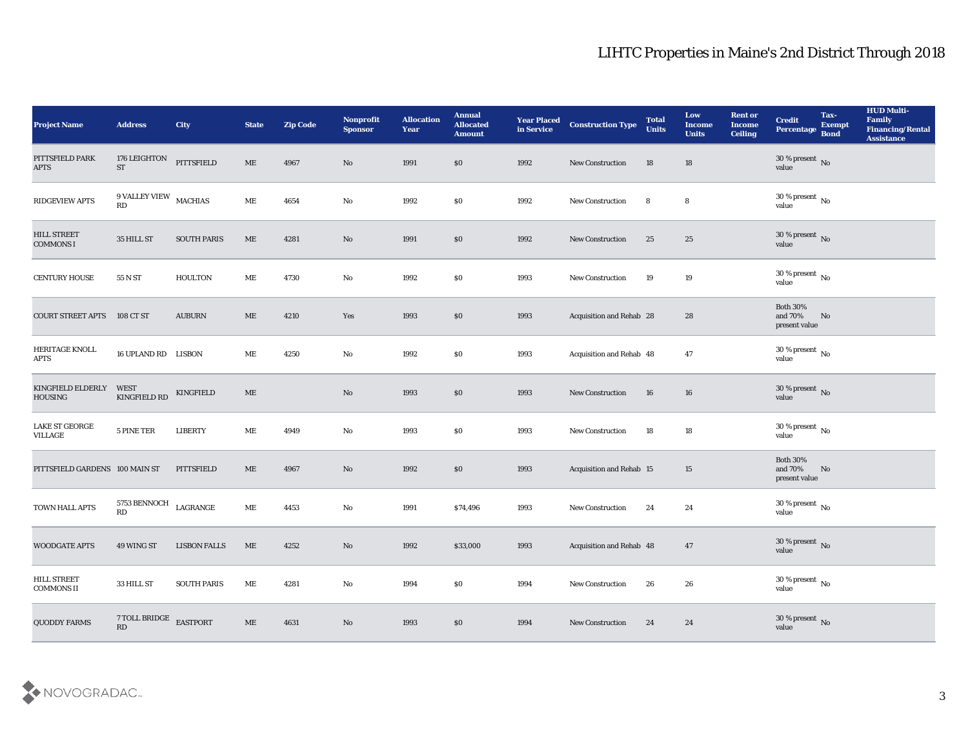| <b>Project Name</b>                        | <b>Address</b>                          | City                | <b>State</b>                 | <b>Zip Code</b> | Nonprofit<br><b>Sponsor</b> | <b>Allocation</b><br><b>Year</b> | <b>Annual</b><br><b>Allocated</b><br><b>Amount</b> | <b>Year Placed</b><br>in Service | <b>Construction Type</b>        | <b>Total</b><br><b>Units</b> | Low<br><b>Income</b><br><b>Units</b> | <b>Rent or</b><br><b>Income</b><br><b>Ceiling</b> | <b>Credit</b><br>Percentage                 | Tax-<br><b>Exempt</b><br><b>Bond</b> | <b>HUD Multi-</b><br>Family<br><b>Financing/Rental</b><br><b>Assistance</b> |
|--------------------------------------------|-----------------------------------------|---------------------|------------------------------|-----------------|-----------------------------|----------------------------------|----------------------------------------------------|----------------------------------|---------------------------------|------------------------------|--------------------------------------|---------------------------------------------------|---------------------------------------------|--------------------------------------|-----------------------------------------------------------------------------|
| PITTSFIELD PARK<br><b>APTS</b>             | 176 LEIGHTON<br>ST                      | <b>PITTSFIELD</b>   | ME                           | 4967            | No                          | 1991                             | $\$0$                                              | 1992                             | New Construction                | 18                           | 18                                   |                                                   | $30\,\%$ present $\,$ No value              |                                      |                                                                             |
| RIDGEVIEW APTS                             | $9$ VALLEY VIEW $\,$ MACHIAS<br>RD      |                     | ME                           | 4654            | No                          | 1992                             | $\$0$                                              | 1992                             | New Construction                | 8                            | 8                                    |                                                   | $30\,\%$ present $\,$ No value              |                                      |                                                                             |
| <b>HILL STREET</b><br><b>COMMONS I</b>     | 35 HILL ST                              | <b>SOUTH PARIS</b>  | $\mathbf{ME}$                | 4281            | No                          | 1991                             | \$0                                                | 1992                             | <b>New Construction</b>         | 25                           | 25                                   |                                                   | $30\,\%$ present $\,$ No value              |                                      |                                                                             |
| <b>CENTURY HOUSE</b>                       | 55 N ST                                 | <b>HOULTON</b>      | ME                           | 4730            | $\rm\thinspace No$          | 1992                             | \$0                                                | 1993                             | New Construction                | 19                           | 19                                   |                                                   | $30\,\%$ present $\,$ No value              |                                      |                                                                             |
| <b>COURT STREET APTS</b>                   | 108 CT ST                               | <b>AUBURN</b>       | ME                           | 4210            | Yes                         | 1993                             | \$0                                                | 1993                             | Acquisition and Rehab 28        |                              | 28                                   |                                                   | <b>Both 30%</b><br>and 70%<br>present value | No                                   |                                                                             |
| HERITAGE KNOLL<br><b>APTS</b>              | 16 UPLAND RD LISBON                     |                     | МE                           | 4250            | No                          | 1992                             | \$0                                                | 1993                             | Acquisition and Rehab 48        |                              | 47                                   |                                                   | $30\,\%$ present $\,$ No value              |                                      |                                                                             |
| <b>KINGFIELD ELDERLY</b><br><b>HOUSING</b> | WEST<br><b>KINGFIELD RD</b>             | KINGFIELD           | $\mathbf{ME}$                |                 | No                          | 1993                             | \$0                                                | 1993                             | New Construction                | 16                           | 16                                   |                                                   | $30\,\%$ present $\,$ No value              |                                      |                                                                             |
| <b>LAKE ST GEORGE</b><br>VILLAGE           | 5 PINE TER                              | <b>LIBERTY</b>      | ME                           | 4949            | No                          | 1993                             | \$0                                                | 1993                             | <b>New Construction</b>         | 18                           | 18                                   |                                                   | 30 % present $\,$ No $\,$<br>value          |                                      |                                                                             |
| PITTSFIELD GARDENS 100 MAIN ST             |                                         | PITTSFIELD          | ME                           | 4967            | No                          | 1992                             | \$0                                                | 1993                             | <b>Acquisition and Rehab 15</b> |                              | 15                                   |                                                   | <b>Both 30%</b><br>and 70%<br>present value | No                                   |                                                                             |
| TOWN HALL APTS                             | 5753 BENNOCH<br>RD                      | LAGRANGE            | ME                           | 4453            | No                          | 1991                             | \$74,496                                           | 1993                             | <b>New Construction</b>         | 24                           | 24                                   |                                                   | $30\,\%$ present $\,$ No value              |                                      |                                                                             |
| <b>WOODGATE APTS</b>                       | 49 WING ST                              | <b>LISBON FALLS</b> | ME                           | 4252            | No                          | 1992                             | \$33,000                                           | 1993                             | Acquisition and Rehab 48        |                              | 47                                   |                                                   | 30 % present No<br>value                    |                                      |                                                                             |
| <b>HILL STREET</b><br><b>COMMONS II</b>    | 33 HILL ST                              | <b>SOUTH PARIS</b>  | $\rm ME$                     | 4281            | $\mathbf {No}$              | 1994                             | $\$0$                                              | 1994                             | New Construction                | 26                           | ${\bf 26}$                           |                                                   | 30 % present $\,$ No $\,$<br>value          |                                      |                                                                             |
| <b>QUODDY FARMS</b>                        | 7 TOLL BRIDGE<br>$\mathbf{R}\mathbf{D}$ | <b>EASTPORT</b>     | $\operatorname{\mathbf{ME}}$ | 4631            | $\rm\thinspace No$          | 1993                             | \$0                                                | 1994                             | <b>New Construction</b>         | 24                           | 24                                   |                                                   | $30\,\%$ present $\,$ No value              |                                      |                                                                             |

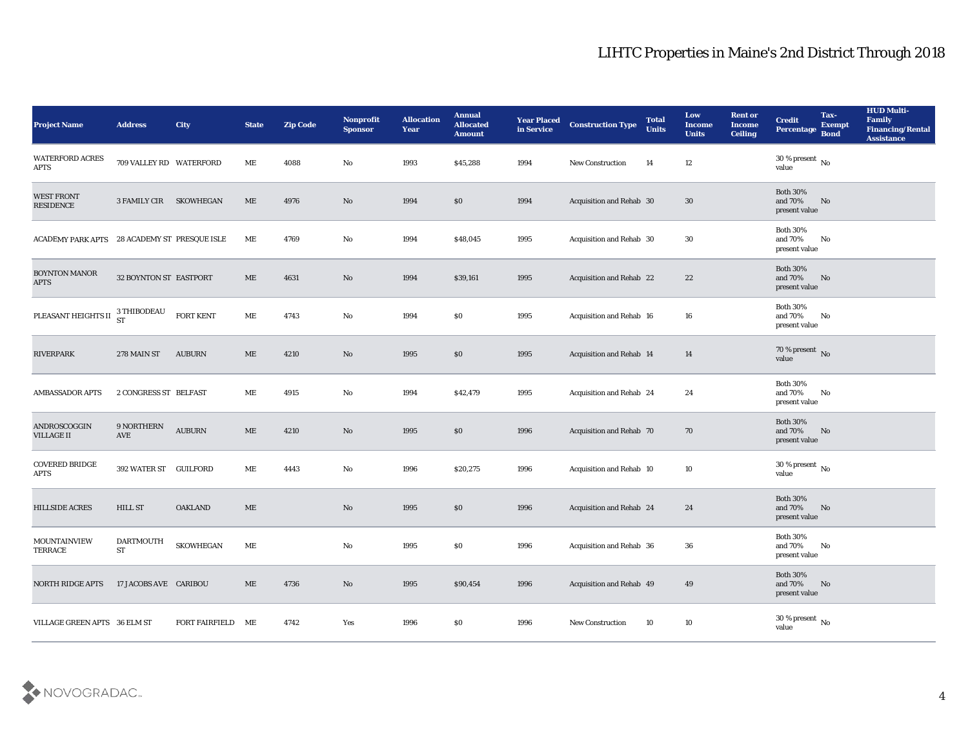| <b>Project Name</b>                          | <b>Address</b>          | <b>City</b>       | <b>State</b> | <b>Zip Code</b> | Nonprofit<br><b>Sponsor</b>   | <b>Allocation</b><br><b>Year</b> | <b>Annual</b><br><b>Allocated</b><br><b>Amount</b> | <b>Year Placed</b><br>in Service | <b>Construction Type</b>        | <b>Total</b><br><b>Units</b> | Low<br><b>Income</b><br><b>Units</b> | <b>Rent or</b><br><b>Income</b><br><b>Ceiling</b> | <b>Credit</b><br><b>Percentage</b>               | Tax-<br><b>Exempt</b><br><b>Bond</b> | <b>HUD Multi-</b><br>Family<br><b>Financing/Rental</b><br><b>Assistance</b> |
|----------------------------------------------|-------------------------|-------------------|--------------|-----------------|-------------------------------|----------------------------------|----------------------------------------------------|----------------------------------|---------------------------------|------------------------------|--------------------------------------|---------------------------------------------------|--------------------------------------------------|--------------------------------------|-----------------------------------------------------------------------------|
| <b>WATERFORD ACRES</b><br><b>APTS</b>        | 709 VALLEY RD WATERFORD |                   | MЕ           | 4088            | No                            | 1993                             | \$45,288                                           | 1994                             | New Construction                | 14                           | 12                                   |                                                   | 30 % present $\overline{N_0}$<br>value           |                                      |                                                                             |
| <b>WEST FRONT</b><br><b>RESIDENCE</b>        | 3 FAMILY CIR            | SKOWHEGAN         | ME           | 4976            | No                            | 1994                             | $\$0$                                              | 1994                             | Acquisition and Rehab 30        |                              | 30                                   |                                                   | <b>Both 30%</b><br>and 70%<br>present value      | No                                   |                                                                             |
| ACADEMY PARK APTS 28 ACADEMY ST PRESQUE ISLE |                         |                   | ME           | 4769            | No                            | 1994                             | \$48,045                                           | 1995                             | Acquisition and Rehab 30        |                              | 30                                   |                                                   | <b>Both 30%</b><br>and 70%<br>present value      | No                                   |                                                                             |
| <b>BOYNTON MANOR</b><br><b>APTS</b>          | 32 BOYNTON ST EASTPORT  |                   | ME           | 4631            | No                            | 1994                             | \$39,161                                           | 1995                             | Acquisition and Rehab 22        |                              | 22                                   |                                                   | <b>Both 30%</b><br>and 70%<br>present value      | No                                   |                                                                             |
| PLEASANT HEIGHTS II                          | 3 THIBODEAU             | <b>FORT KENT</b>  | MЕ           | 4743            | No                            | 1994                             | \$0                                                | 1995                             | Acquisition and Rehab 16        |                              | 16                                   |                                                   | <b>Both 30%</b><br>and 70%<br>present value      | No                                   |                                                                             |
| <b>RIVERPARK</b>                             | 278 MAIN ST             | <b>AUBURN</b>     | ME           | 4210            | No                            | 1995                             | \$0                                                | 1995                             | <b>Acquisition and Rehab 14</b> |                              | 14                                   |                                                   | $70\,\%$ present $\,$ No value                   |                                      |                                                                             |
| <b>AMBASSADOR APTS</b>                       | 2 CONGRESS ST BELFAST   |                   | MЕ           | 4915            | No                            | 1994                             | \$42,479                                           | 1995                             | Acquisition and Rehab 24        |                              | 24                                   |                                                   | <b>Both 30%</b><br>and 70%<br>present value      | No                                   |                                                                             |
| ANDROSCOGGIN<br><b>VILLAGE II</b>            | 9 NORTHERN<br>AVE       | <b>AUBURN</b>     | ME           | 4210            | No                            | 1995                             | \$0                                                | 1996                             | <b>Acquisition and Rehab 70</b> |                              | 70                                   |                                                   | <b>Both 30%</b><br>and 70%<br>present value      | No                                   |                                                                             |
| COVERED BRIDGE<br><b>APTS</b>                | 392 WATER ST GUILFORD   |                   | МE           | 4443            | No                            | 1996                             | \$20,275                                           | 1996                             | Acquisition and Rehab 10        |                              | 10                                   |                                                   | 30 % present $\,$ No $\,$<br>value               |                                      |                                                                             |
| <b>HILLSIDE ACRES</b>                        | <b>HILL ST</b>          | <b>OAKLAND</b>    | ME           |                 | No                            | 1995                             | \$0                                                | 1996                             | Acquisition and Rehab 24        |                              | 24                                   |                                                   | <b>Both 30%</b><br>and 70%<br>present value      | No                                   |                                                                             |
| MOUNTAINVIEW<br>TERRACE                      | <b>DARTMOUTH</b><br>ST  | <b>SKOWHEGAN</b>  | МE           |                 | No                            | 1995                             | \$0                                                | 1996                             | <b>Acquisition and Rehab 36</b> |                              | 36                                   |                                                   | <b>Both 30%</b><br>and 70%<br>$\,$ present value | No                                   |                                                                             |
| NORTH RIDGE APTS                             | 17 JACOBS AVE CARIBOU   |                   | ME           | 4736            | $\rm\thinspace No$            | 1995                             | \$90,454                                           | 1996                             | Acquisition and Rehab 49        |                              | 49                                   |                                                   | Both $30\%$<br>and $70\%$<br>present value       | N <sub>o</sub>                       |                                                                             |
| VILLAGE GREEN APTS 36 ELM ST                 |                         | FORT FAIRFIELD ME |              | 4742            | $\operatorname{\textsc{Yes}}$ | 1996                             | $\$0$                                              | 1996                             | <b>New Construction</b>         | 10                           | $10\,$                               |                                                   | $30\,\%$ present $\,$ No value                   |                                      |                                                                             |

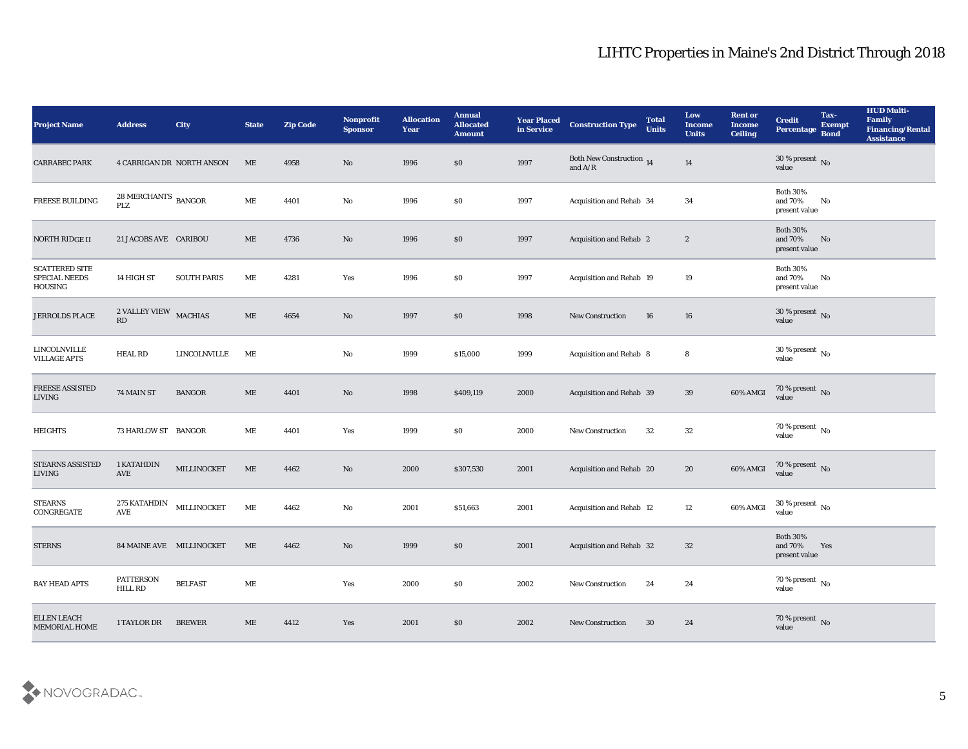| <b>Project Name</b>                               | <b>Address</b>                                    | City                      | <b>State</b>        | <b>Zip Code</b> | Nonprofit<br><b>Sponsor</b> | <b>Allocation</b><br>Year | <b>Annual</b><br><b>Allocated</b><br><b>Amount</b> | <b>Year Placed</b><br>in Service | <b>Construction Type</b>                                                                               | <b>Total</b><br><b>Units</b> | Low<br><b>Income</b><br><b>Units</b> | <b>Rent or</b><br><b>Income</b><br><b>Ceiling</b> | <b>Credit</b><br>Percentage                    | Tax-<br><b>Exempt</b><br><b>Bond</b> | <b>HUD Multi-</b><br>Family<br><b>Financing/Rental</b><br><b>Assistance</b> |
|---------------------------------------------------|---------------------------------------------------|---------------------------|---------------------|-----------------|-----------------------------|---------------------------|----------------------------------------------------|----------------------------------|--------------------------------------------------------------------------------------------------------|------------------------------|--------------------------------------|---------------------------------------------------|------------------------------------------------|--------------------------------------|-----------------------------------------------------------------------------|
| <b>CARRABEC PARK</b>                              |                                                   | 4 CARRIGAN DR NORTH ANSON | ME                  | 4958            | No                          | 1996                      | \$0                                                | 1997                             | <b>Both New Construction 14</b><br>and $\ensuremath{\mathrm{A}}\xspace/\ensuremath{\mathrm{R}}\xspace$ |                              | 14                                   |                                                   | $30\,\%$ present $\,$ No value                 |                                      |                                                                             |
| FREESE BUILDING                                   | $28\, \mbox{MERCHANTS}$ $_{\mbox{BANGOR}}$<br>PLZ |                           | ME                  | 4401            | No                          | 1996                      | \$0                                                | 1997                             | Acquisition and Rehab 34                                                                               |                              | 34                                   |                                                   | <b>Both 30%</b><br>and $70\%$<br>present value | $\mathbf{N}\mathbf{o}$               |                                                                             |
| NORTH RIDGE II                                    | 21 JACOBS AVE CARIBOU                             |                           | ME                  | 4736            | No                          | 1996                      | $\$0$                                              | 1997                             | Acquisition and Rehab 2                                                                                |                              | $\boldsymbol{2}$                     |                                                   | <b>Both 30%</b><br>and 70%<br>present value    | No                                   |                                                                             |
| <b>SCATTERED SITE</b><br>SPECIAL NEEDS<br>HOUSING | 14 HIGH ST                                        | <b>SOUTH PARIS</b>        | ME                  | 4281            | Yes                         | 1996                      | \$0                                                | 1997                             | Acquisition and Rehab 19                                                                               |                              | 19                                   |                                                   | <b>Both 30%</b><br>and $70\%$<br>present value | No                                   |                                                                             |
| <b>JERROLDS PLACE</b>                             | $2$ VALLEY VIEW $\,$ MACHIAS<br>RD                |                           | ME                  | 4654            | No                          | 1997                      | \$0                                                | 1998                             | <b>New Construction</b>                                                                                | 16                           | 16                                   |                                                   | $30\,\%$ present $\,$ No value                 |                                      |                                                                             |
| <b>LINCOLNVILLE</b><br><b>VILLAGE APTS</b>        | <b>HEAL RD</b>                                    | <b>LINCOLNVILLE</b>       | ME                  |                 | No                          | 1999                      | \$15,000                                           | 1999                             | <b>Acquisition and Rehab 8</b>                                                                         |                              | 8                                    |                                                   | $30\,\%$ present $\,$ No value                 |                                      |                                                                             |
| <b>FREESE ASSISTED</b><br>LIVING                  | 74 MAIN ST                                        | <b>BANGOR</b>             | ME                  | 4401            | No                          | 1998                      | \$409,119                                          | 2000                             | Acquisition and Rehab 39                                                                               |                              | 39                                   | 60% AMGI                                          | $70\,\%$ present $\,$ No value                 |                                      |                                                                             |
| <b>HEIGHTS</b>                                    | 73 HARLOW ST BANGOR                               |                           | ME                  | 4401            | Yes                         | 1999                      | \$0                                                | 2000                             | <b>New Construction</b>                                                                                | 32                           | 32                                   |                                                   | 70 % present $\,$ No $\,$<br>value             |                                      |                                                                             |
| STEARNS ASSISTED<br>LIVING                        | 1 KATAHDIN<br>AVE                                 | MILLINOCKET               | ME                  | 4462            | No                          | 2000                      | \$307,530                                          | 2001                             | Acquisition and Rehab 20                                                                               |                              | 20                                   | 60% AMGI                                          | $70$ % present $\,$ No value                   |                                      |                                                                             |
| <b>STEARNS</b><br>CONGREGATE                      | 275 KATAHDIN<br>AVE                               | MILLINOCKET               | ME                  | 4462            | No                          | 2001                      | \$51,663                                           | 2001                             | Acquisition and Rehab 12                                                                               |                              | 12                                   | 60% AMGI                                          | $30\,\%$ present $\,$ No value                 |                                      |                                                                             |
| <b>STERNS</b>                                     | 84 MAINE AVE MILLINOCKET                          |                           | ME                  | 4462            | No                          | 1999                      | \$0                                                | 2001                             | <b>Acquisition and Rehab 32</b>                                                                        |                              | 32                                   |                                                   | <b>Both 30%</b><br>and 70%<br>present value    | Yes                                  |                                                                             |
| <b>BAY HEAD APTS</b>                              | PATTERSON<br>HILL RD                              | <b>BELFAST</b>            | $\mathbf{ME}$       |                 | Yes                         | 2000                      | $\$0$                                              | 2002                             | <b>New Construction</b>                                                                                | 24                           | ${\bf 24}$                           |                                                   | $70\,\%$ present $\,$ No value                 |                                      |                                                                             |
| ELLEN LEACH<br>MEMORIAL HOME                      | 1 TAYLOR DR                                       | <b>BREWER</b>             | $\operatorname{ME}$ | 4412            | Yes                         | 2001                      | $\$0$                                              | 2002                             | <b>New Construction</b>                                                                                | $30\,$                       | 24                                   |                                                   | $70\,\%$ present $\,$ No value                 |                                      |                                                                             |

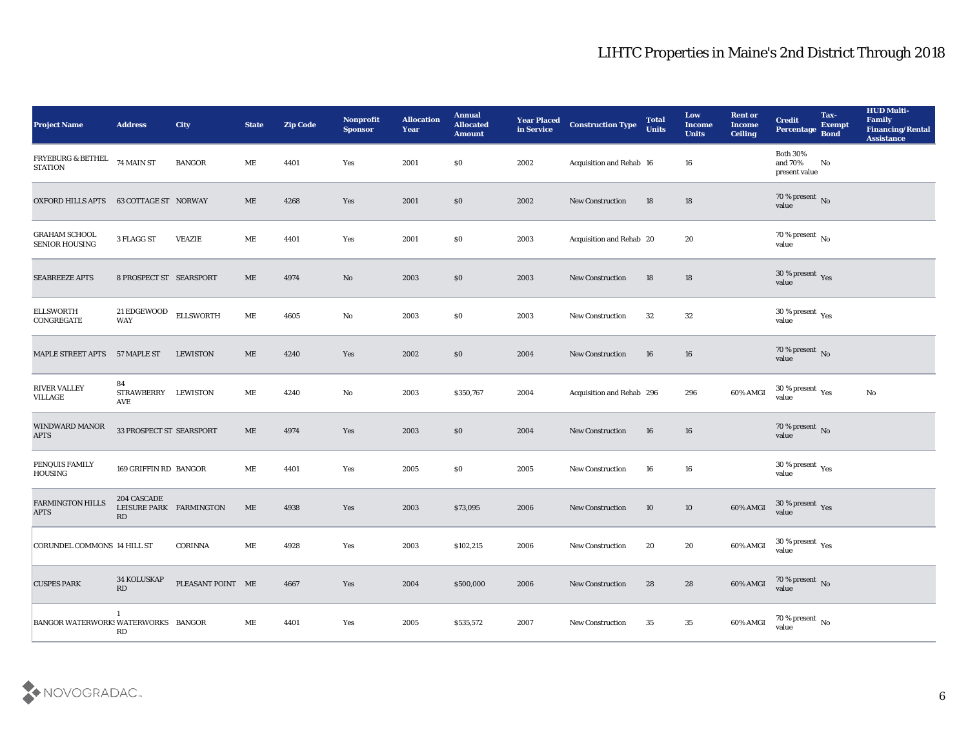| <b>Project Name</b>                    | <b>Address</b>                               | City              | <b>State</b> | <b>Zip Code</b> | Nonprofit<br><b>Sponsor</b> | <b>Allocation</b><br><b>Year</b> | <b>Annual</b><br><b>Allocated</b><br><b>Amount</b> | <b>Year Placed</b><br>in Service | <b>Construction Type</b>  | <b>Total</b><br><b>Units</b> | Low<br><b>Income</b><br><b>Units</b> | <b>Rent or</b><br><b>Income</b><br><b>Ceiling</b> | <b>Credit</b><br>Percentage                 | Tax-<br><b>Exempt</b><br><b>Bond</b> | <b>HUD Multi-</b><br>Family<br><b>Financing/Rental</b><br><b>Assistance</b> |
|----------------------------------------|----------------------------------------------|-------------------|--------------|-----------------|-----------------------------|----------------------------------|----------------------------------------------------|----------------------------------|---------------------------|------------------------------|--------------------------------------|---------------------------------------------------|---------------------------------------------|--------------------------------------|-----------------------------------------------------------------------------|
| FRYEBURG & BETHEL<br><b>STATION</b>    | 74 MAIN ST                                   | <b>BANGOR</b>     | MЕ           | 4401            | Yes                         | 2001                             | \$0                                                | 2002                             | Acquisition and Rehab 16  |                              | 16                                   |                                                   | <b>Both 30%</b><br>and 70%<br>present value | No                                   |                                                                             |
| OXFORD HILLS APTS                      | 63 COTTAGE ST NORWAY                         |                   | ME           | 4268            | Yes                         | 2001                             | \$0                                                | 2002                             | <b>New Construction</b>   | 18                           | 18                                   |                                                   | $70\,\%$ present $\,$ No value              |                                      |                                                                             |
| <b>GRAHAM SCHOOL</b><br>SENIOR HOUSING | 3 FLAGG ST                                   | <b>VEAZIE</b>     | ME           | 4401            | Yes                         | 2001                             | \$0                                                | 2003                             | Acquisition and Rehab 20  |                              | 20                                   |                                                   | 70 % present $\,$ No $\,$<br>value          |                                      |                                                                             |
| <b>SEABREEZE APTS</b>                  | 8 PROSPECT ST SEARSPORT                      |                   | ME           | 4974            | No                          | 2003                             | \$0                                                | 2003                             | <b>New Construction</b>   | 18                           | 18                                   |                                                   | $30\,\%$ present $\,$ Yes value             |                                      |                                                                             |
| <b>ELLSWORTH</b><br>CONGREGATE         | 21 EDGEWOOD<br><b>WAY</b>                    | <b>ELLSWORTH</b>  | ME           | 4605            | No                          | 2003                             | \$0                                                | 2003                             | <b>New Construction</b>   | 32                           | 32                                   |                                                   | $30\,\%$ present $\,$ Yes value             |                                      |                                                                             |
| MAPLE STREET APTS 57 MAPLE ST          |                                              | <b>LEWISTON</b>   | ME           | 4240            | Yes                         | 2002                             | \$0                                                | 2004                             | <b>New Construction</b>   | 16                           | 16                                   |                                                   | $70\,\%$ present $\,$ No value              |                                      |                                                                             |
| <b>RIVER VALLEY</b><br><b>VILLAGE</b>  | 84<br>STRAWBERRY LEWISTON<br>AVE             |                   | ME           | 4240            | No                          | 2003                             | \$350,767                                          | 2004                             | Acquisition and Rehab 296 |                              | 296                                  | 60% AMGI                                          | $30\,\%$ present $\,$ Yes value             |                                      | No                                                                          |
| WINDWARD MANOR<br><b>APTS</b>          | 33 PROSPECT ST SEARSPORT                     |                   | ME           | 4974            | Yes                         | 2003                             | \$0                                                | 2004                             | <b>New Construction</b>   | 16                           | 16                                   |                                                   | 70 % present $\bar{N}$ o<br>value           |                                      |                                                                             |
| PENQUIS FAMILY<br><b>HOUSING</b>       | 169 GRIFFIN RD BANGOR                        |                   | МE           | 4401            | Yes                         | 2005                             | \$0                                                | 2005                             | <b>New Construction</b>   | 16                           | 16                                   |                                                   | $30\,\%$ present $\,$ Yes value             |                                      |                                                                             |
| <b>FARMINGTON HILLS</b><br>$\rm APTS$  | 204 CASCADE<br>LEISURE PARK FARMINGTON<br>RD |                   | ME           | 4938            | Yes                         | 2003                             | \$73,095                                           | 2006                             | <b>New Construction</b>   | 10                           | 10                                   | 60% AMGI                                          | $30\,\%$ present $\,$ Yes value             |                                      |                                                                             |
| <b>CORUNDEL COMMONS 14 HILL ST</b>     |                                              | <b>CORINNA</b>    | MЕ           | 4928            | Yes                         | 2003                             | \$102,215                                          | 2006                             | <b>New Construction</b>   | 20                           | 20                                   | 60% AMGI                                          | 30 % present $\gamma_{\rm es}$<br>value     |                                      |                                                                             |
| <b>CUSPES PARK</b>                     | 34 KOLUSKAP<br>RD                            | PLEASANT POINT ME |              | 4667            | Yes                         | 2004                             | \$500,000                                          | 2006                             | New Construction          | 28                           | 28                                   | 60% AMGI                                          | $70$ % present $\,$ No $\,$ value           |                                      |                                                                             |
| BANGOR WATERWORKS WATERWORKS BANGOR    | $\mathbf{1}$<br>RD                           |                   | ME           | 4401            | Yes                         | 2005                             | \$535,572                                          | 2007                             | <b>New Construction</b>   | 35                           | 35                                   | 60% AMGI                                          | $70\,\%$ present $\,$ No value              |                                      |                                                                             |

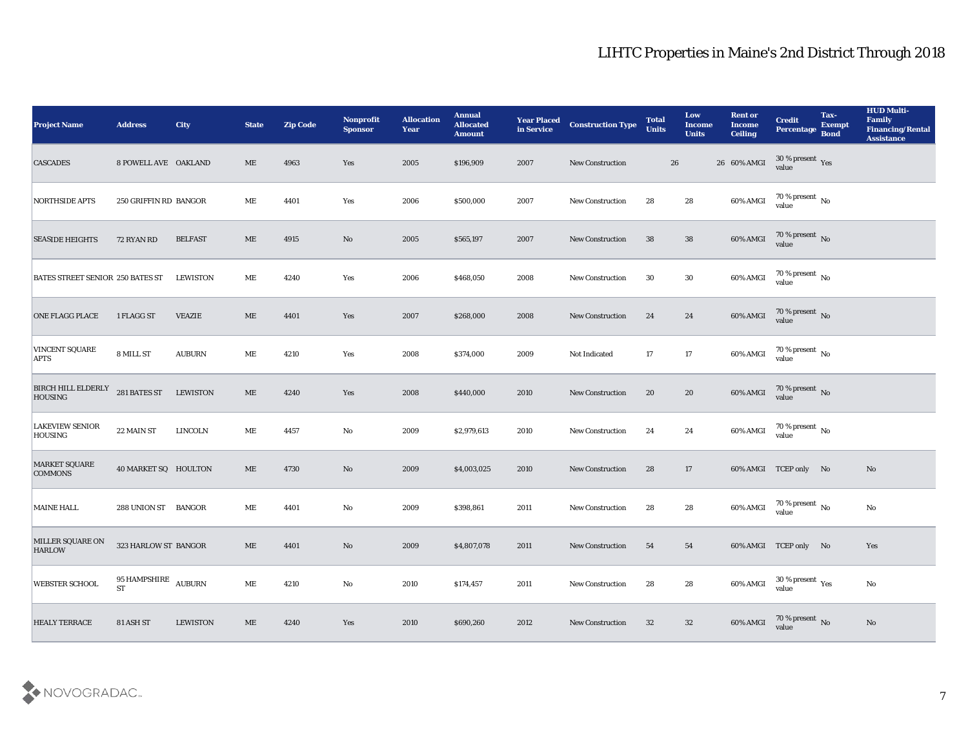| <b>Project Name</b>                      | <b>Address</b>                             | <b>City</b>     | <b>State</b> | <b>Zip Code</b> | Nonprofit<br><b>Sponsor</b> | <b>Allocation</b><br><b>Year</b> | <b>Annual</b><br><b>Allocated</b><br><b>Amount</b> | <b>Year Placed</b><br>in Service | <b>Construction Type</b> | <b>Total</b><br><b>Units</b> |    | Low<br><b>Income</b><br><b>Units</b> | <b>Rent or</b><br><b>Income</b><br><b>Ceiling</b> | <b>Credit</b><br>Percentage       | Tax-<br><b>Exempt</b><br><b>Bond</b> | <b>HUD Multi-</b><br>Family<br><b>Financing/Rental</b><br><b>Assistance</b> |
|------------------------------------------|--------------------------------------------|-----------------|--------------|-----------------|-----------------------------|----------------------------------|----------------------------------------------------|----------------------------------|--------------------------|------------------------------|----|--------------------------------------|---------------------------------------------------|-----------------------------------|--------------------------------------|-----------------------------------------------------------------------------|
| <b>CASCADES</b>                          | 8 POWELL AVE OAKLAND                       |                 | ME           | 4963            | Yes                         | 2005                             | \$196,909                                          | 2007                             | <b>New Construction</b>  |                              | 26 |                                      | 26 60% AMGI                                       | $30\,\%$ present $\,$ Yes value   |                                      |                                                                             |
| <b>NORTHSIDE APTS</b>                    | 250 GRIFFIN RD BANGOR                      |                 | ME           | 4401            | Yes                         | 2006                             | \$500,000                                          | 2007                             | <b>New Construction</b>  | 28                           |    | 28                                   | 60% AMGI                                          | $70\,\% \,present \over 0$ No     |                                      |                                                                             |
| <b>SEASIDE HEIGHTS</b>                   | 72 RYAN RD                                 | <b>BELFAST</b>  | ME           | 4915            | No                          | 2005                             | \$565,197                                          | 2007                             | <b>New Construction</b>  | 38                           |    | 38                                   | 60% AMGI                                          | $70\,\%$ present $\,$ No value    |                                      |                                                                             |
| BATES STREET SENIOR 250 BATES ST         |                                            | LEWISTON        | ME           | 4240            | Yes                         | 2006                             | \$468,050                                          | 2008                             | <b>New Construction</b>  | 30                           |    | 30                                   | 60% AMGI                                          | $70\,\%$ present $\,$ No value    |                                      |                                                                             |
| <b>ONE FLAGG PLACE</b>                   | 1 FLAGG ST                                 | <b>VEAZIE</b>   | ME           | 4401            | Yes                         | 2007                             | \$268,000                                          | 2008                             | <b>New Construction</b>  | 24                           |    | 24                                   | 60% AMGI                                          | $70\,\%$ present $\,$ No value    |                                      |                                                                             |
| <b>VINCENT SQUARE</b><br><b>APTS</b>     | 8 MILL ST                                  | <b>AUBURN</b>   | ME           | 4210            | Yes                         | 2008                             | \$374,000                                          | 2009                             | Not Indicated            | 17                           |    | 17                                   | 60% AMGI                                          | $70\,\%$ present $\,$ No value    |                                      |                                                                             |
| BIRCH HILL ELDERLY<br><b>HOUSING</b>     | 281 BATES ST                               | <b>LEWISTON</b> | $\rm ME$     | 4240            | Yes                         | 2008                             | \$440,000                                          | 2010                             | <b>New Construction</b>  | 20                           |    | 20                                   | 60% AMGI                                          | $70$ % present $\,$ No $\,$ value |                                      |                                                                             |
| <b>LAKEVIEW SENIOR</b><br><b>HOUSING</b> | 22 MAIN ST                                 | LINCOLN         | ME           | 4457            | No                          | 2009                             | \$2,979,613                                        | 2010                             | <b>New Construction</b>  | 24                           |    | 24                                   | 60% AMGI                                          | $70\,\%$ present $\,$ No value    |                                      |                                                                             |
| <b>MARKET SQUARE</b><br><b>COMMONS</b>   | 40 MARKET SQ HOULTON                       |                 | $\rm ME$     | 4730            | No                          | 2009                             | \$4,003,025                                        | 2010                             | <b>New Construction</b>  | 28                           |    | 17                                   |                                                   | 60% AMGI TCEP only No             |                                      | No                                                                          |
| <b>MAINE HALL</b>                        | 288 UNION ST BANGOR                        |                 | ME           | 4401            | No                          | 2009                             | \$398,861                                          | 2011                             | <b>New Construction</b>  | 28                           |    | 28                                   | 60% AMGI                                          | $70\,\% \,present \over 0$ No     |                                      | No                                                                          |
| MILLER SQUARE ON<br><b>HARLOW</b>        | 323 HARLOW ST BANGOR                       |                 | ME           | 4401            | No                          | 2009                             | \$4,807,078                                        | 2011                             | <b>New Construction</b>  | 54                           |    | 54                                   |                                                   | 60% AMGI TCEP only No             |                                      | Yes                                                                         |
| WEBSTER SCHOOL                           | 95 HAMPSHIRE $\,$ AUBURN $\,$<br><b>ST</b> |                 | $\rm ME$     | 4210            | $\mathbf {No}$              | 2010                             | \$174,457                                          | 2011                             | <b>New Construction</b>  | 28                           |    | 28                                   | 60% AMGI                                          | $30\,\%$ present $\,$ Yes value   |                                      | $\rm\thinspace No$                                                          |
| <b>HEALY TERRACE</b>                     | 81 ASH ST                                  | LEWISTON        | $\rm ME$     | 4240            | $\mathbf{Yes}$              | 2010                             | \$690,260                                          | 2012                             | New Construction         | 32                           |    | $32\,$                               | 60% AMGI                                          | $70\,\%$ present $\,$ No value    |                                      | $\mathbf{N}\mathbf{o}$                                                      |

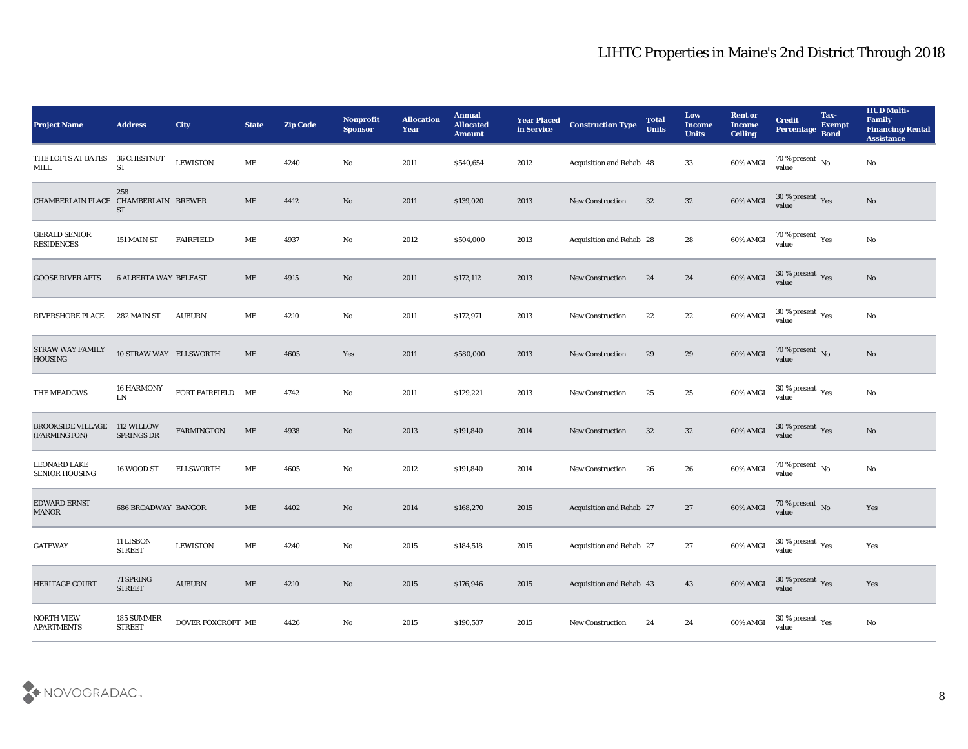| <b>Project Name</b>                                 | <b>Address</b>                         | <b>City</b>             | <b>State</b>                 | <b>Zip Code</b> | Nonprofit<br><b>Sponsor</b> | <b>Allocation</b><br><b>Year</b> | <b>Annual</b><br><b>Allocated</b><br><b>Amount</b> | <b>Year Placed</b><br>in Service | <b>Construction Type</b>        | <b>Total</b><br><b>Units</b> | Low<br><b>Income</b><br><b>Units</b> | <b>Rent or</b><br><b>Income</b><br><b>Ceiling</b> | <b>Credit</b><br>Percentage                          | Tax-<br><b>Exempt</b><br><b>Bond</b> | <b>HUD Multi-</b><br>Family<br><b>Financing/Rental</b><br><b>Assistance</b> |
|-----------------------------------------------------|----------------------------------------|-------------------------|------------------------------|-----------------|-----------------------------|----------------------------------|----------------------------------------------------|----------------------------------|---------------------------------|------------------------------|--------------------------------------|---------------------------------------------------|------------------------------------------------------|--------------------------------------|-----------------------------------------------------------------------------|
| THE LOFTS AT BATES<br>MILL                          | 36 CHESTNUT<br>${\rm ST}$              | <b>LEWISTON</b>         | МE                           | 4240            | No                          | 2011                             | \$540,654                                          | 2012                             | Acquisition and Rehab 48        |                              | 33                                   | 60% AMGI                                          | 70 % present $\overline{N_0}$<br>value               |                                      | No                                                                          |
| CHAMBERLAIN PLACE CHAMBERLAIN BREWER                | 258<br><b>ST</b>                       |                         | ME                           | 4412            | No                          | 2011                             | \$139,020                                          | 2013                             | <b>New Construction</b>         | 32                           | 32                                   | 60% AMGI                                          | $30\,\%$ present $\,$ Yes value                      |                                      | No                                                                          |
| <b>GERALD SENIOR</b><br><b>RESIDENCES</b>           | 151 MAIN ST                            | <b>FAIRFIELD</b>        | ME                           | 4937            | No                          | 2012                             | \$504,000                                          | 2013                             | Acquisition and Rehab 28        |                              | 28                                   | 60% AMGI                                          | 70 % present $_{\rm Yes}$<br>value                   |                                      | No                                                                          |
| <b>GOOSE RIVER APTS</b>                             | <b>6 ALBERTA WAY BELFAST</b>           |                         | ME                           | 4915            | $\mathbf{N}\mathbf{o}$      | 2011                             | \$172,112                                          | 2013                             | <b>New Construction</b>         | 24                           | 24                                   | 60% AMGI                                          | $30\,\%$ present $\,$ Yes value                      |                                      | No                                                                          |
| <b>RIVERSHORE PLACE</b>                             | 282 MAIN ST                            | <b>AUBURN</b>           | MЕ                           | 4210            | No                          | 2011                             | \$172,971                                          | 2013                             | <b>New Construction</b>         | 22                           | 22                                   | 60% AMGI                                          | 30 % present $\gamma_{\rm es}$<br>value              |                                      | No                                                                          |
| <b>STRAW WAY FAMILY</b><br><b>HOUSING</b>           | 10 STRAW WAY ELLSWORTH                 |                         | ME                           | 4605            | Yes                         | 2011                             | \$580,000                                          | 2013                             | <b>New Construction</b>         | 29                           | 29                                   | 60% AMGI                                          | $70$ % present $\,$ No value                         |                                      | No                                                                          |
| THE MEADOWS                                         | <b>16 HARMONY</b><br>${\rm LN}$        | FORT FAIRFIELD ME       |                              | 4742            | No                          | 2011                             | \$129,221                                          | 2013                             | <b>New Construction</b>         | 25                           | 25                                   | 60% AMGI                                          | $30\,\%$ present $\,$ Yes value                      |                                      | No                                                                          |
| <b>BROOKSIDE VILLAGE 112 WILLOW</b><br>(FARMINGTON) | <b>SPRINGS DR</b>                      | <b>FARMINGTON</b>       | ME                           | 4938            | No                          | 2013                             | \$191,840                                          | 2014                             | <b>New Construction</b>         | 32                           | 32                                   | 60% AMGI                                          | 30 % present $\,\rm \gamma_{\rm es}$<br>value        |                                      | No                                                                          |
| <b>LEONARD LAKE</b><br><b>SENIOR HOUSING</b>        | 16 WOOD ST                             | <b>ELLSWORTH</b>        | ME                           | 4605            | No                          | 2012                             | \$191,840                                          | 2014                             | <b>New Construction</b>         | 26                           | 26                                   | 60% AMGI                                          | $70\%$ present No<br>value                           |                                      | No                                                                          |
| <b>EDWARD ERNST</b><br><b>MANOR</b>                 | <b>686 BROADWAY BANGOR</b>             |                         | ME                           | 4402            | $\mathbf{N}\mathbf{o}$      | 2014                             | \$168,270                                          | 2015                             | Acquisition and Rehab 27        |                              | 27                                   | 60% AMGI                                          | $70$ % present $_{\rm{No}}$ $_{\rm{value}}$          |                                      | Yes                                                                         |
| <b>GATEWAY</b>                                      | 11 LISBON<br><b>STREET</b>             | <b>LEWISTON</b>         | ME                           | 4240            | No                          | 2015                             | \$184,518                                          | 2015                             | <b>Acquisition and Rehab 27</b> |                              | 27                                   | 60% AMGI                                          | 30 % present $\rm\thinspace\gamma_{\rm es}$<br>value |                                      | Yes                                                                         |
| HERITAGE COURT                                      | $71\ \mathrm{SPRING}$<br><b>STREET</b> | $\operatorname{AUBURN}$ | $\operatorname{\mathbf{ME}}$ | 4210            | $\mathbf {No}$              | 2015                             | \$176,946                                          | 2015                             | Acquisition and Rehab 43        |                              | 43                                   | 60% AMGI                                          | $30\,\%$ present $\,$ Yes value                      |                                      | Yes                                                                         |
| <b>NORTH VIEW</b><br><b>APARTMENTS</b>              | 185 SUMMER<br><b>STREET</b>            | DOVER FOXCROFT ME       |                              | 4426            | $\mathbf {No}$              | 2015                             | \$190,537                                          | 2015                             | New Construction                | 24                           | 24                                   | 60% AMGI                                          | 30 % present $\rm\thinspace\gamma_{\rm es}$<br>value |                                      | $\rm\thinspace No$                                                          |

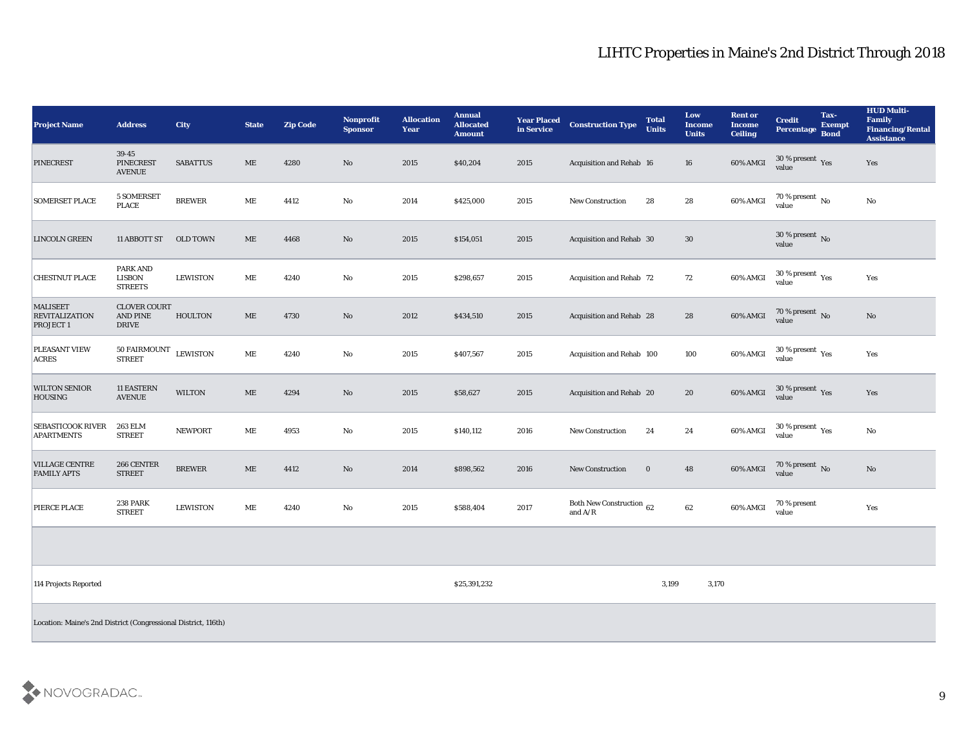| <b>Project Name</b>                                            | <b>Address</b>                                         | City            | <b>State</b>        | <b>Zip Code</b> | Nonprofit<br><b>Sponsor</b> | <b>Allocation</b><br><b>Year</b> | <b>Annual</b><br><b>Allocated</b><br><b>Amount</b> | <b>Year Placed</b><br>in Service | <b>Construction Type</b>                                                                        | <b>Total</b><br><b>Units</b> | Low<br><b>Income</b><br><b>Units</b> | <b>Rent or</b><br><b>Income</b><br><b>Ceiling</b> | <b>Credit</b><br>Percentage        | Tax-<br><b>Exempt</b><br><b>Bond</b> | <b>HUD Multi-</b><br>Family<br><b>Financing/Rental</b><br><b>Assistance</b> |
|----------------------------------------------------------------|--------------------------------------------------------|-----------------|---------------------|-----------------|-----------------------------|----------------------------------|----------------------------------------------------|----------------------------------|-------------------------------------------------------------------------------------------------|------------------------------|--------------------------------------|---------------------------------------------------|------------------------------------|--------------------------------------|-----------------------------------------------------------------------------|
| <b>PINECREST</b>                                               | 39-45<br><b>PINECREST</b><br><b>AVENUE</b>             | <b>SABATTUS</b> | ME                  | 4280            | No                          | 2015                             | \$40,204                                           | 2015                             | Acquisition and Rehab 16                                                                        |                              | 16                                   | 60% AMGI                                          | $30\,\%$ present $\,$ Yes value    |                                      | Yes                                                                         |
| <b>SOMERSET PLACE</b>                                          | 5 SOMERSET<br>PLACE                                    | <b>BREWER</b>   | ME                  | 4412            | No                          | 2014                             | \$425,000                                          | 2015                             | <b>New Construction</b>                                                                         | 28                           | 28                                   | 60% AMGI                                          | $\frac{70\%}{value}$ No            |                                      | No                                                                          |
| <b>LINCOLN GREEN</b>                                           | 11 ABBOTT ST                                           | OLD TOWN        | ME                  | 4468            | No                          | 2015                             | \$154,051                                          | 2015                             | Acquisition and Rehab 30                                                                        |                              | 30                                   |                                                   | 30 % present $\,$ No $\,$<br>value |                                      |                                                                             |
| <b>CHESTNUT PLACE</b>                                          | <b>PARK AND</b><br><b>LISBON</b><br><b>STREETS</b>     | <b>LEWISTON</b> | ME                  | 4240            | $\rm\thinspace No$          | 2015                             | \$298,657                                          | 2015                             | Acquisition and Rehab 72                                                                        |                              | 72                                   | 60% AMGI                                          | $30\,\%$ present $\,$ Yes value    |                                      | Yes                                                                         |
| <b>MALISEET</b><br><b>REVITALIZATION</b><br><b>PROJECT1</b>    | <b>CLOVER COURT</b><br><b>AND PINE</b><br><b>DRIVE</b> | <b>HOULTON</b>  | ME                  | 4730            | No                          | 2012                             | \$434,510                                          | 2015                             | Acquisition and Rehab 28                                                                        |                              | 28                                   | 60% AMGI                                          | $70\,\%$ present $\,$ No value     |                                      | $\mathbf{N}\mathbf{o}$                                                      |
| PLEASANT VIEW<br><b>ACRES</b>                                  | 50 FAIRMOUNT<br><b>STREET</b>                          | <b>LEWISTON</b> | ME                  | 4240            | $\rm\thinspace No$          | 2015                             | \$407,567                                          | 2015                             | Acquisition and Rehab 100                                                                       |                              | 100                                  | $60\%$ AMGI                                       | $30\,\%$ present $\,$ Yes value    |                                      | Yes                                                                         |
| <b>WILTON SENIOR</b><br><b>HOUSING</b>                         | 11 EASTERN<br><b>AVENUE</b>                            | <b>WILTON</b>   | $\operatorname{ME}$ | 4294            | No                          | 2015                             | \$58,627                                           | 2015                             | Acquisition and Rehab 20                                                                        |                              | 20                                   | 60% AMGI                                          | $30\,\%$ present $\,$ Yes value    |                                      | Yes                                                                         |
| <b>SEBASTICOOK RIVER</b><br><b>APARTMENTS</b>                  | 263 ELM<br>${\small\texttt{STREF}}$                    | <b>NEWPORT</b>  | ME                  | 4953            | No                          | 2015                             | \$140,112                                          | 2016                             | <b>New Construction</b>                                                                         | 24                           | 24                                   | 60% AMGI                                          | $30\,\%$ present $\,$ Yes value    |                                      | No                                                                          |
| <b>VILLAGE CENTRE</b><br><b>FAMILY APTS</b>                    | 266 CENTER<br><b>STREET</b>                            | <b>BREWER</b>   | $\operatorname{ME}$ | 4412            | No                          | 2014                             | \$898,562                                          | 2016                             | New Construction                                                                                | $\bf{0}$                     | 48                                   | 60% AMGI                                          | $70\,\%$ present $\,$ No value     |                                      | $\mathbf{N}\mathbf{o}$                                                      |
| PIERCE PLACE                                                   | <b>238 PARK</b><br>${\small\texttt{STREF}}$            | <b>LEWISTON</b> | ME                  | 4240            | No                          | 2015                             | \$588,404                                          | 2017                             | Both New Construction 62<br>and $\ensuremath{\mathrm{A}}\xspace/\ensuremath{\mathrm{R}}\xspace$ |                              | 62                                   | 60% AMGI                                          | 70 % present<br>value              |                                      | Yes                                                                         |
|                                                                |                                                        |                 |                     |                 |                             |                                  |                                                    |                                  |                                                                                                 |                              |                                      |                                                   |                                    |                                      |                                                                             |
| 114 Projects Reported                                          |                                                        |                 |                     |                 |                             |                                  | \$25,391,232                                       |                                  |                                                                                                 | 3,199                        | 3,170                                |                                                   |                                    |                                      |                                                                             |
| Location: Maine's 2nd District (Congressional District, 116th) |                                                        |                 |                     |                 |                             |                                  |                                                    |                                  |                                                                                                 |                              |                                      |                                                   |                                    |                                      |                                                                             |